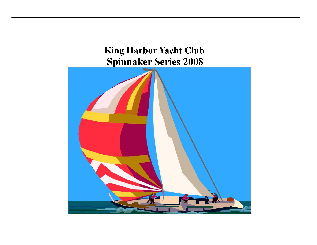# **King Harbor Yacht Club Spinnaker Series 2008**